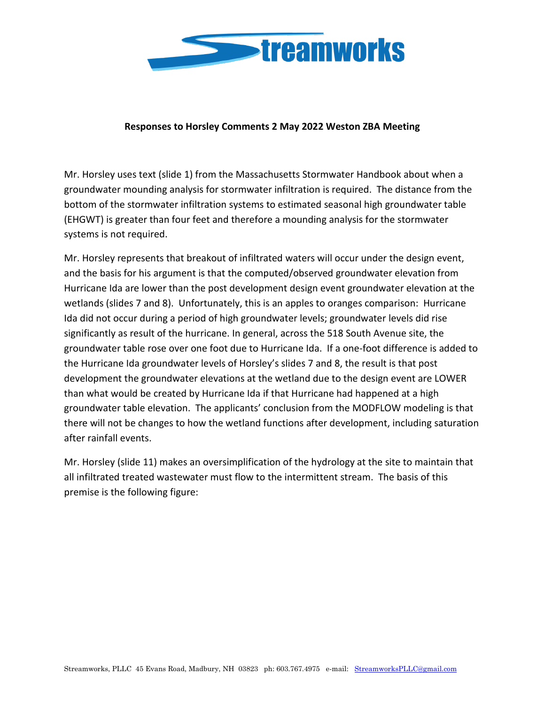

## **Responses to Horsley Comments 2 May 2022 Weston ZBA Meeting**

Mr. Horsley uses text (slide 1) from the Massachusetts Stormwater Handbook about when a groundwater mounding analysis for stormwater infiltration is required. The distance from the bottom of the stormwater infiltration systems to estimated seasonal high groundwater table (EHGWT) is greater than four feet and therefore a mounding analysis for the stormwater systems is not required.

Mr. Horsley represents that breakout of infiltrated waters will occur under the design event, and the basis for his argument is that the computed/observed groundwater elevation from Hurricane Ida are lower than the post development design event groundwater elevation at the wetlands (slides 7 and 8). Unfortunately, this is an apples to oranges comparison: Hurricane Ida did not occur during a period of high groundwater levels; groundwater levels did rise significantly as result of the hurricane. In general, across the 518 South Avenue site, the groundwater table rose over one foot due to Hurricane Ida. If a one-foot difference is added to the Hurricane Ida groundwater levels of Horsley's slides 7 and 8, the result is that post development the groundwater elevations at the wetland due to the design event are LOWER than what would be created by Hurricane Ida if that Hurricane had happened at a high groundwater table elevation. The applicants' conclusion from the MODFLOW modeling is that there will not be changes to how the wetland functions after development, including saturation after rainfall events.

Mr. Horsley (slide 11) makes an oversimplification of the hydrology at the site to maintain that all infiltrated treated wastewater must flow to the intermittent stream. The basis of this premise is the following figure: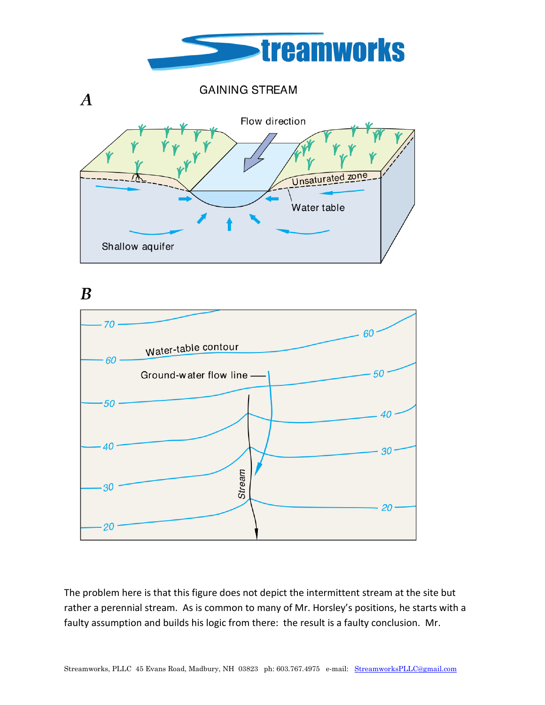

**GAINING STREAM**  $\boldsymbol{A}$ Flow direction Unsaturated zone Water table Shallow aquifer

 $\boldsymbol{B}$ 



The problem here is that this figure does not depict the intermittent stream at the site but rather a perennial stream. As is common to many of Mr. Horsley's positions, he starts with a faulty assumption and builds his logic from there: the result is a faulty conclusion. Mr.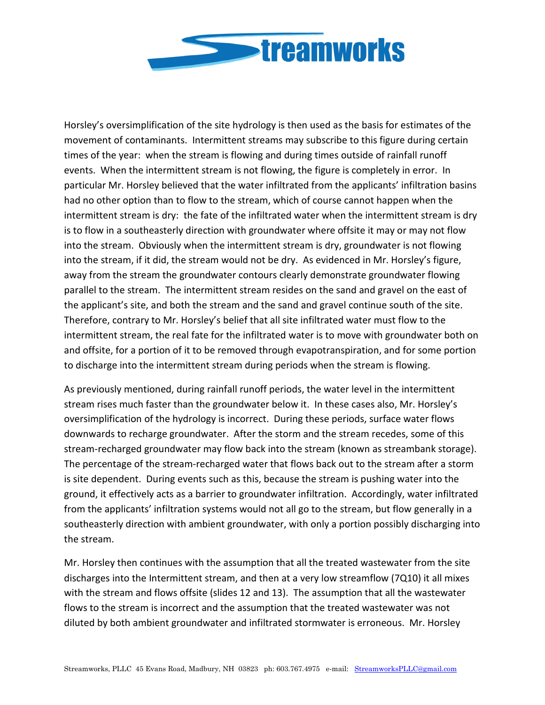

Horsley's oversimplification of the site hydrology is then used as the basis for estimates of the movement of contaminants. Intermittent streams may subscribe to this figure during certain times of the year: when the stream is flowing and during times outside of rainfall runoff events. When the intermittent stream is not flowing, the figure is completely in error. In particular Mr. Horsley believed that the water infiltrated from the applicants' infiltration basins had no other option than to flow to the stream, which of course cannot happen when the intermittent stream is dry: the fate of the infiltrated water when the intermittent stream is dry is to flow in a southeasterly direction with groundwater where offsite it may or may not flow into the stream. Obviously when the intermittent stream is dry, groundwater is not flowing into the stream, if it did, the stream would not be dry. As evidenced in Mr. Horsley's figure, away from the stream the groundwater contours clearly demonstrate groundwater flowing parallel to the stream. The intermittent stream resides on the sand and gravel on the east of the applicant's site, and both the stream and the sand and gravel continue south of the site. Therefore, contrary to Mr. Horsley's belief that all site infiltrated water must flow to the intermittent stream, the real fate for the infiltrated water is to move with groundwater both on and offsite, for a portion of it to be removed through evapotranspiration, and for some portion to discharge into the intermittent stream during periods when the stream is flowing.

As previously mentioned, during rainfall runoff periods, the water level in the intermittent stream rises much faster than the groundwater below it. In these cases also, Mr. Horsley's oversimplification of the hydrology is incorrect. During these periods, surface water flows downwards to recharge groundwater. After the storm and the stream recedes, some of this stream-recharged groundwater may flow back into the stream (known as streambank storage). The percentage of the stream-recharged water that flows back out to the stream after a storm is site dependent. During events such as this, because the stream is pushing water into the ground, it effectively acts as a barrier to groundwater infiltration. Accordingly, water infiltrated from the applicants' infiltration systems would not all go to the stream, but flow generally in a southeasterly direction with ambient groundwater, with only a portion possibly discharging into the stream.

Mr. Horsley then continues with the assumption that all the treated wastewater from the site discharges into the Intermittent stream, and then at a very low streamflow (7Q10) it all mixes with the stream and flows offsite (slides 12 and 13). The assumption that all the wastewater flows to the stream is incorrect and the assumption that the treated wastewater was not diluted by both ambient groundwater and infiltrated stormwater is erroneous. Mr. Horsley